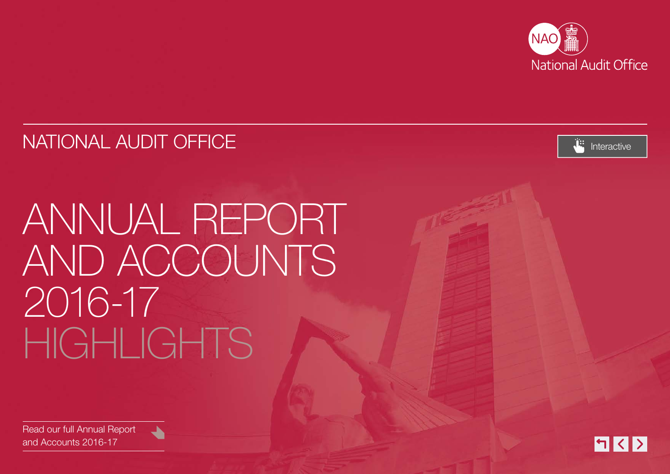

### NATIONAL AUDIT OFFICE [Interactive](#page-1-0) interactive



# ANNUAL REPORT AND ACCOUNTS 2016-17 HIGHTS



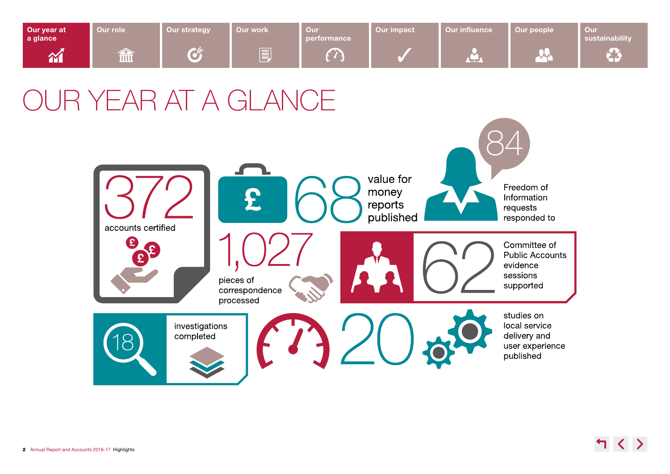<span id="page-1-0"></span>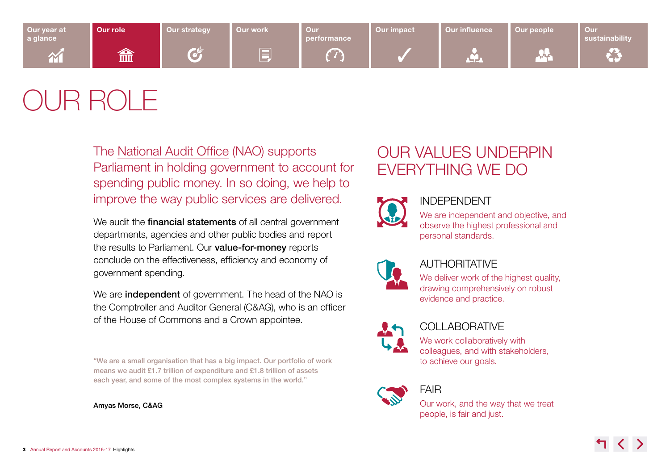<span id="page-2-0"></span>

## OUR ROLE

The [National Audit Office](https://www.nao.org.uk/) (NAO) supports Parliament in holding government to account for spending public money. In so doing, we help to improve the way public services are delivered.

We audit the **financial statements** of all central government departments, agencies and other public bodies and report the results to Parliament. Our **value-for-money** reports conclude on the effectiveness, efficiency and economy of government spending.

We are independent of government. The head of the NAO is the Comptroller and Auditor General (C&AG), who is an officer of the House of Commons and a Crown appointee.

"We are a small organisation that has a big impact. Our portfolio of work means we audit £1.7 trillion of expenditure and £1.8 trillion of assets each year, and some of the most complex systems in the world."

Amyas Morse, C&AG

### OUR VALUES UNDERPIN EVERYTHING WE DO



### INDEPENDENT

We are independent and objective, and observe the highest professional and personal standards.



### AUTHORITATIVE

We deliver work of the highest quality, drawing comprehensively on robust evidence and practice.



### **COLLABORATIVE**

We work collaboratively with colleagues, and with stakeholders, to achieve our goals.



### FAIR

Our work, and the way that we treat people, is fair and just.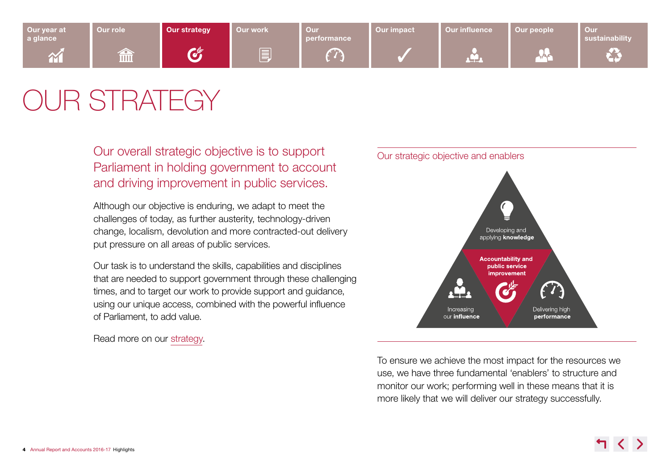<span id="page-3-0"></span>

## OUR STRATEGY

Our overall strategic objective is to support Parliament in holding government to account and driving improvement in public services.

Although our objective is enduring, we adapt to meet the challenges of today, as further austerity, technology-driven change, localism, devolution and more contracted-out delivery put pressure on all areas of public services.

Our task is to understand the skills, capabilities and disciplines that are needed to support government through these challenging times, and to target our work to provide support and guidance, using our unique access, combined with the powerful influence of Parliament, to add value.

Read more on our [strategy](http://www.nao.org.uk/report/national-audit-office-our-strategy-2017-2018-to-2019-2020/).



To ensure we achieve the most impact for the resources we use, we have three fundamental 'enablers' to structure and monitor our work; performing well in these means that it is more likely that we will deliver our strategy successfully.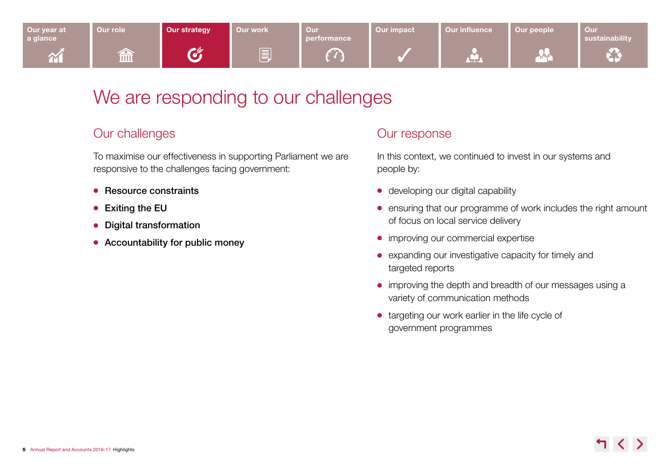

### We are responding to our challenges

### Our challenges

To maximise our effectiveness in supporting Parliament we are responsive to the challenges facing government:

- $\bullet$  Resource constraints
- $\bullet$  Exiting the EU
- Digital transformation
- $\bullet$  Accountability for public money

### Our response

In this context, we continued to invest in our systems and people by:

- $\bullet$  developing our digital capability
- ensuring that our programme of work includes the right amount of focus on local service delivery
- $\bullet$  improving our commercial expertise
- expanding our investigative capacity for timely and targeted reports
- improving the depth and breadth of our messages using a variety of communication methods
- targeting our work earlier in the life cycle of government programmes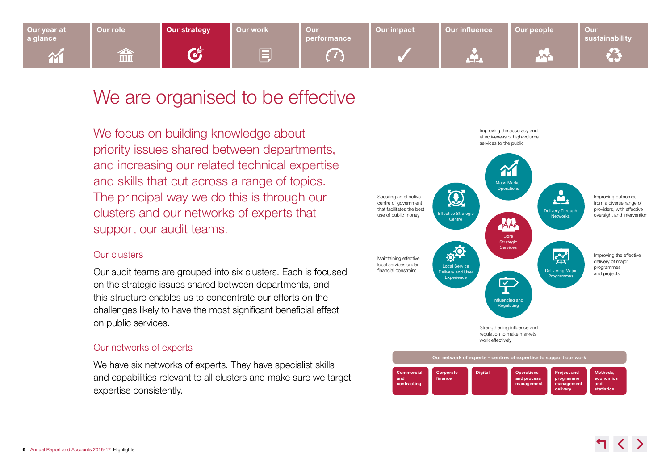

### We are organised to be effective

We focus on building knowledge about priority issues shared between departments, and increasing our related technical expertise and skills that cut across a range of topics. The principal way we do this is through our clusters and our networks of experts that support our audit teams.

#### Our clusters

Our audit teams are grouped into six clusters. Each is focused on the strategic issues shared between departments, and this structure enables us to concentrate our efforts on the challenges likely to have the most significant beneficial effect on public services.

#### Our networks of experts

We have six networks of experts. They have specialist skills and capabilities relevant to all clusters and make sure we target expertise consistently.

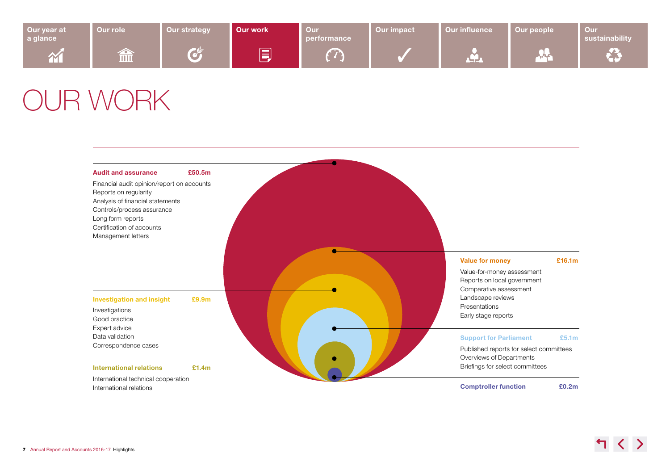<span id="page-6-0"></span>

| Our year at<br>a glance  | Our role                                          | <b>Our strategy</b>                                                                                                                                                                                                                                                       | Our work | Our<br>performance | Our impact | <b>Our influence</b> | Our people | Our<br>sustainability |
|--------------------------|---------------------------------------------------|---------------------------------------------------------------------------------------------------------------------------------------------------------------------------------------------------------------------------------------------------------------------------|----------|--------------------|------------|----------------------|------------|-----------------------|
| $\mathbf{\widetilde{M}}$ | ╱<br>$\overline{\mathbb{H}}\overline{\mathbb{H}}$ | <b>Contract of the Contract of the Contract of the Contract of the Contract of the Contract of the Contract of the Contract of the Contract of the Contract of the Contract of the Contract of The Contract of The Contract of T</b><br><b>Contract Contract Contract</b> | E        | <b>The State</b>   |            | ينبوه                |            |                       |

### OUR WORK

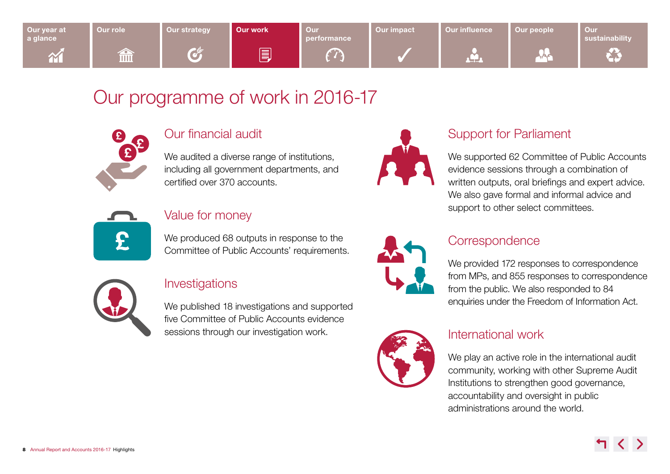

### Our programme of work in 2016-17



### Our financial audit

We audited a diverse range of institutions, including all government departments, and certified over 370 accounts.





### Value for money

We produced 68 outputs in response to the Committee of Public Accounts' requirements.



### Investigations

We published 18 investigations and supported five Committee of Public Accounts evidence sessions through our investigation work.



### Support for Parliament

We supported 62 Committee of Public Accounts evidence sessions through a combination of written outputs, oral briefings and expert advice. We also gave formal and informal advice and support to other select committees.



### **Correspondence**

We provided 172 responses to correspondence from MPs, and 855 responses to correspondence from the public. We also responded to 84 enquiries under the Freedom of Information Act.



### International work

We play an active role in the international audit community, working with other Supreme Audit Institutions to strengthen good governance, accountability and oversight in public administrations around the world.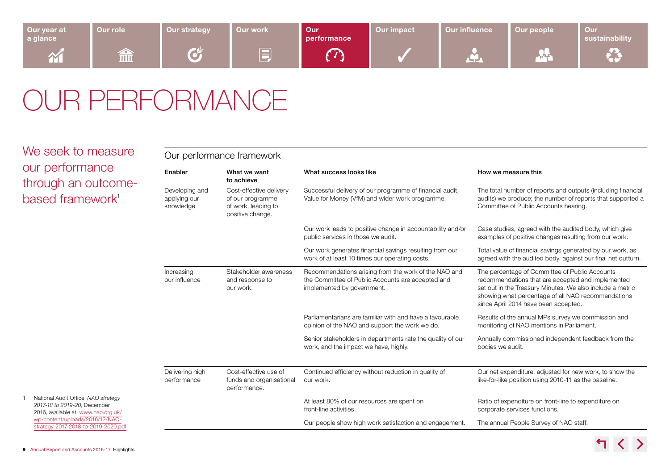<span id="page-8-0"></span>

| Our year at<br>a glance | Our role  | <b>Our strategy</b> | <b>Our work</b> | Our <b>O</b><br>performance | Our impact | <b>Our influence</b> | Our people | Our<br>sustainability |
|-------------------------|-----------|---------------------|-----------------|-----------------------------|------------|----------------------|------------|-----------------------|
| <b>AV</b>               | ∕∼<br>imi | <b>Contract</b>     | III             |                             |            | 2 T _ 2              | <b>SAC</b> |                       |

### OUR PERFORMANCE

| We seek to measure                                                                                         | Our performance framework                   |                                                                                        |                                                                                                                                         |                                                                                                                                                                                                                                                                |  |  |  |
|------------------------------------------------------------------------------------------------------------|---------------------------------------------|----------------------------------------------------------------------------------------|-----------------------------------------------------------------------------------------------------------------------------------------|----------------------------------------------------------------------------------------------------------------------------------------------------------------------------------------------------------------------------------------------------------------|--|--|--|
| our performance<br>through an outcome-                                                                     | Enabler                                     | What we want<br>to achieve                                                             | What success looks like                                                                                                                 | How we measure this                                                                                                                                                                                                                                            |  |  |  |
| based framework <sup>1</sup>                                                                               | Developing and<br>applying our<br>knowledge | Cost-effective delivery<br>of our programme<br>of work, leading to<br>positive change. | Successful delivery of our programme of financial audit,<br>Value for Money (VfM) and wider work programme.                             | The total number of reports and outputs (including financial<br>audits) we produce; the number of reports that supported a<br>Committee of Public Accounts hearing.                                                                                            |  |  |  |
|                                                                                                            |                                             |                                                                                        | Our work leads to positive change in accountability and/or<br>public services in those we audit.                                        | Case studies, agreed with the audited body, which give<br>examples of positive changes resulting from our work.                                                                                                                                                |  |  |  |
|                                                                                                            |                                             |                                                                                        | Our work generates financial savings resulting from our<br>work of at least 10 times our operating costs.                               | Total value of financial savings generated by our work, as<br>agreed with the audited body, against our final net outturn.                                                                                                                                     |  |  |  |
|                                                                                                            | Increasing<br>our influence                 | Stakeholder awareness<br>and response to<br>our work.                                  | Recommendations arising from the work of the NAO and<br>the Committee of Public Accounts are accepted and<br>implemented by government. | The percentage of Committee of Public Accounts<br>recommendations that are accepted and implemented<br>set out in the Treasury Minutes. We also include a metric<br>showing what percentage of all NAO recommendations<br>since April 2014 have been accepted. |  |  |  |
|                                                                                                            |                                             |                                                                                        | Parliamentarians are familiar with and have a favourable<br>opinion of the NAO and support the work we do.                              | Results of the annual MPs survey we commission and<br>monitoring of NAO mentions in Parliament.                                                                                                                                                                |  |  |  |
|                                                                                                            |                                             |                                                                                        | Senior stakeholders in departments rate the quality of our<br>work, and the impact we have, highly.                                     | Annually commissioned independent feedback from the<br>bodies we audit.                                                                                                                                                                                        |  |  |  |
|                                                                                                            | Delivering high<br>performance              | Cost-effective use of<br>funds and organisational<br>performance.                      | Continued efficiency without reduction in quality of<br>our work.                                                                       | Our net expenditure, adjusted for new work, to show the<br>like-for-like position using 2010-11 as the baseline.                                                                                                                                               |  |  |  |
| National Audit Office, NAO strategy<br>2017-18 to 2019-20, December<br>2016, available at: www.nao.org.uk/ |                                             |                                                                                        | At least 80% of our resources are spent on<br>front-line activities.                                                                    | Ratio of expenditure on front-line to expenditure on<br>corporate services functions.                                                                                                                                                                          |  |  |  |
| wp-content/uploads/2016/12/NAO-<br>strategy-2017-2018-to-2019-2020.pdf                                     |                                             |                                                                                        | Our people show high work satisfaction and engagement.                                                                                  | The annual People Survey of NAO staff.                                                                                                                                                                                                                         |  |  |  |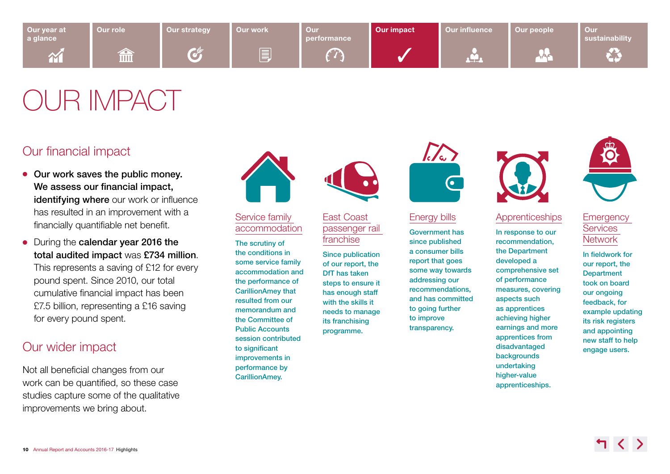<span id="page-9-0"></span>

## OUR IMPACT

### Our financial impact

- $\bullet$  Our work saves the public money. We assess our financial impact, identifying where our work or influence has resulted in an improvement with a financially quantifiable net benefit.
- During the calendar year 2016 the total audited impact was £734 million. This represents a saving of £12 for every pound spent. Since 2010, our total cumulative financial impact has been £7.5 billion, representing a £16 saving for every pound spent.

### Our wider impact

Not all beneficial changes from our work can be quantified, so these case studies capture some of the qualitative improvements we bring about.



#### [Service family](http://www.nao.org.uk/report/service-family-accommodation/)  [accommodation](http://www.nao.org.uk/report/service-family-accommodation/)

The scrutiny of the conditions in some service family accommodation and the performance of CarillionAmey that resulted from our memorandum and the Committee of Public Accounts session contributed to significant improvements in performance by CarillionAmey.



#### [East Coast](http://www.nao.org.uk/report/the-intercity-east-coast-passenger-rail-franchise/)  [passenger rail](http://www.nao.org.uk/report/the-intercity-east-coast-passenger-rail-franchise/)  [franchise](http://www.nao.org.uk/report/the-intercity-east-coast-passenger-rail-franchise/)

Since publication of our report, the DfT has taken steps to ensure it has enough staff with the skills it needs to manage its franchising programme.



#### [Energy bills](http://www.nao.org.uk/report/controlling-the-consumer-funded-costs-of-energy-policies-the-levy-control-framework/)

Government has since published a consumer bills report that goes some way towards addressing our recommendations, and has committed to going further to improve transparency.



#### **[Apprenticeships](http://www.nao.org.uk/report/delivery-value-through-the-apprenticeships-programme/)**

In response to our recommendation, the Department developed a comprehensive set of performance measures, covering aspects such as apprentices achieving higher earnings and more apprentices from disadvantaged backgrounds undertaking higher-value apprenticeships.



#### **Emergency Services [Network](http://www.nao.org.uk/report/upgrading-emergency-service-communications-the-emergency-services-network/)**

In fieldwork for our report, the **Department** took on board our ongoing feedback, for example updating its risk registers and appointing new staff to help engage users.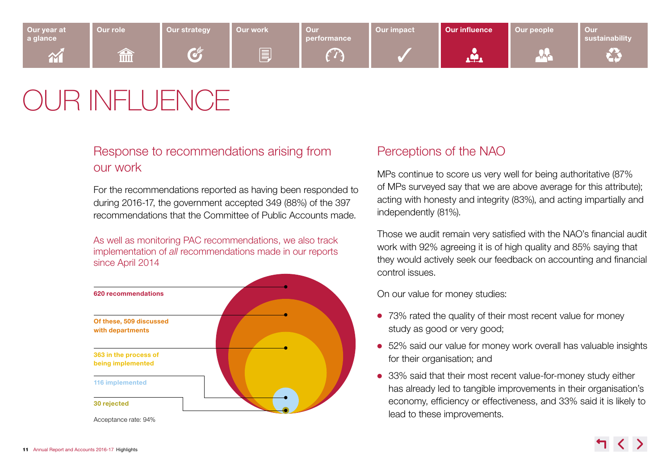<span id="page-10-0"></span>

## OUR INFLUENCE

### Response to recommendations arising from our work

For the recommendations reported as having been responded to during 2016-17, the government accepted 349 (88%) of the 397 recommendations that the Committee of Public Accounts made.

As well as monitoring PAC recommendations, we also track implementation of *all* recommendations made in our reports since April 2014



Acceptance rate: 94%

### Perceptions of the NAO

MPs continue to score us very well for being authoritative (87% of MPs surveyed say that we are above average for this attribute); acting with honesty and integrity (83%), and acting impartially and independently (81%).

Those we audit remain very satisfied with the NAO's financial audit work with 92% agreeing it is of high quality and 85% saying that they would actively seek our feedback on accounting and financial control issues.

On our value for money studies:

- 73% rated the quality of their most recent value for money study as good or very good;
- 52% said our value for money work overall has valuable insights for their organisation; and
- 33% said that their most recent value-for-money study either has already led to tangible improvements in their organisation's economy, efficiency or effectiveness, and 33% said it is likely to lead to these improvements.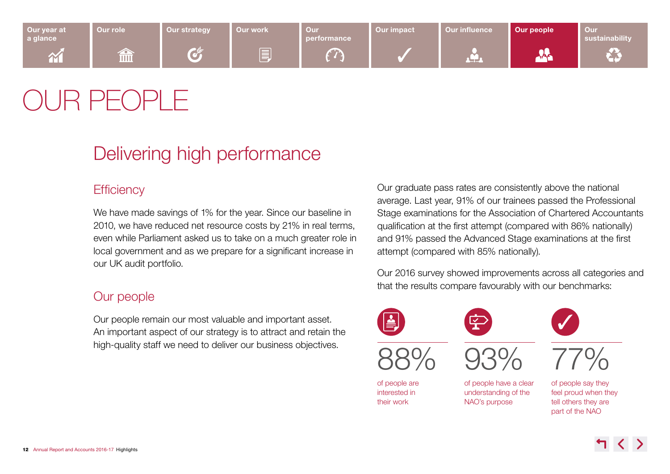<span id="page-11-0"></span>

## R PF( )PL F

### Delivering high performance

### **Efficiency**

We have made savings of 1% for the year. Since our baseline in 2010, we have reduced net resource costs by 21% in real terms, even while Parliament asked us to take on a much greater role in local government and as we prepare for a significant increase in our UK audit portfolio.

### Our people

Our people remain our most valuable and important asset. An important aspect of our strategy is to attract and retain the high-quality staff we need to deliver our business objectives.

Our graduate pass rates are consistently above the national average. Last year, 91% of our trainees passed the Professional Stage examinations for the Association of Chartered Accountants qualification at the first attempt (compared with 86% nationally) and 91% passed the Advanced Stage examinations at the first attempt (compared with 85% nationally).

Our 2016 survey showed improvements across all categories and that the results compare favourably with our benchmarks:



their work

88%









of people are interested in

of people have a clear understanding of the NAO's purpose

77% of people say they

feel proud when they tell others they are part of the NAO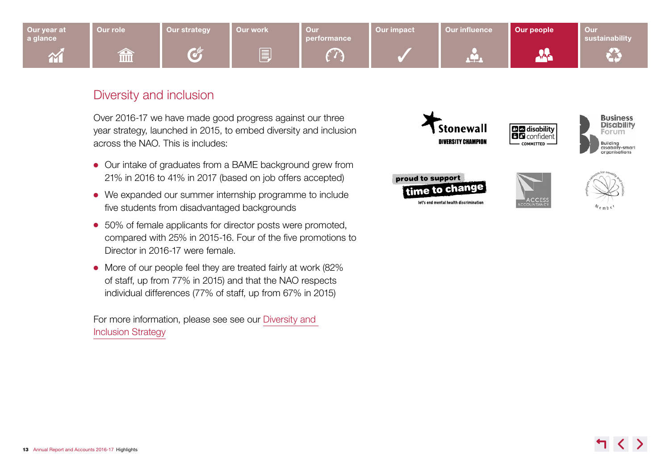

### Diversity and inclusion

Over 2016-17 we have made good progress against our three year strategy, launched in 2015, to embed diversity and inclusion across the NAO. This is includes:

- Our intake of graduates from a BAME background grew from 21% in 2016 to 41% in 2017 (based on job offers accepted)
- We expanded our summer internship programme to include five students from disadvantaged backgrounds
- 50% of female applicants for director posts were promoted, compared with 25% in 2015-16. Four of the five promotions to Director in 2016-17 were female.
- More of our people feel they are treated fairly at work (82%) of staff, up from 77% in 2015) and that the NAO respects individual differences (77% of staff, up from 67% in 2015)

For more information, please see see our [Diversity and](http://www.nao.org.uk/about-us/wp-content/uploads/sites/12/2013/02/NAO-Diversity-and-Inclusion-Strategy-2015-2018.pdf)  [Inclusion Strategy](http://www.nao.org.uk/about-us/wp-content/uploads/sites/12/2013/02/NAO-Diversity-and-Inclusion-Strategy-2015-2018.pdf)

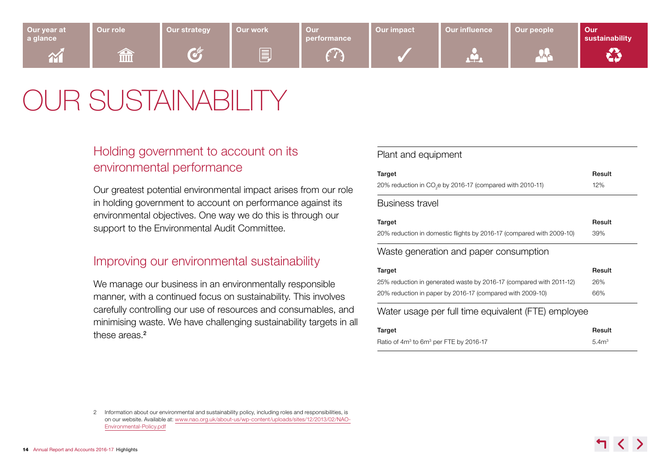## <span id="page-13-0"></span>OUR SUSTAINABILITY

### Holding government to account on its environmental performance

Our greatest potential environmental impact arises from our role in holding government to account on performance against its environmental objectives. One way we do this is through our support to the Environmental Audit Committee.

### Improving our environmental sustainability

We manage our business in an environmentally responsible manner, with a continued focus on sustainability. This involves carefully controlling our use of resources and consumables, and minimising waste. We have challenging sustainability targets in all these areas.<sup>2</sup>

#### Plant and equipment

| Target                                                                | Result           |
|-----------------------------------------------------------------------|------------------|
| 20% reduction in CO <sub>2</sub> e by 2016-17 (compared with 2010-11) | 12%              |
| <b>Business travel</b>                                                |                  |
| Target                                                                | Result           |
| 20% reduction in domestic flights by 2016-17 (compared with 2009-10)  | 39%              |
| Waste generation and paper consumption                                |                  |
| Target                                                                | Result           |
| 25% reduction in generated waste by 2016-17 (compared with 2011-12)   | 26%              |
| 20% reduction in paper by 2016-17 (compared with 2009-10)             | 66%              |
| Water usage per full time equivalent (FTE) employee                   |                  |
| Target                                                                | Result           |
| Ratio of $4m3$ to $6m3$ per FTE by 2016-17                            | 5.4 <sup>m</sup> |

<sup>2</sup> Information about our environmental and sustainability policy, including roles and responsibilities, is on our website. Available at: [www.nao.org.uk/about-us/wp-content/uploads/sites/12/2013/02/NAO-](http://www.nao.org.uk/about-us/wp-content/uploads/sites/12/2013/02/NAO-Environmental-Policy.pdf)[Environmental-Policy.pdf](http://www.nao.org.uk/about-us/wp-content/uploads/sites/12/2013/02/NAO-Environmental-Policy.pdf)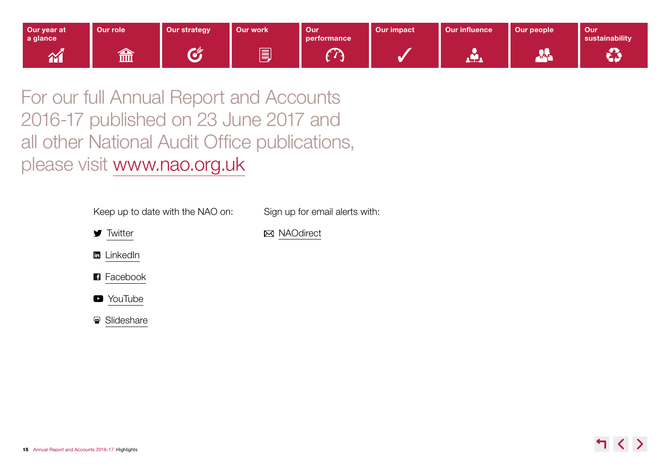

For our full Annual Report and Accounts 2016-17 published on 23 June 2017 and all other National Audit Office publications, please visit [www.nao.org.uk](http://www.nao.org.uk/)